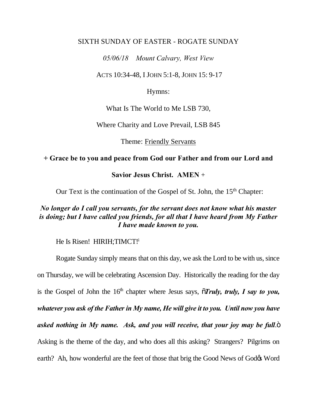#### SIXTH SUNDAY OF EASTER - ROGATE SUNDAY

*05/06/18 Mount Calvary, West View* 

ACTS 10:34-48, I JOHN 5:1-8, JOHN 15: 9-17

Hymns:

What Is The World to Me LSB 730,

Where Charity and Love Prevail, LSB 845

Theme: Friendly Servants

## **+ Grace be to you and peace from God our Father and from our Lord and**

**Savior Jesus Christ. AMEN** +

Our Text is the continuation of the Gospel of St. John, the 15<sup>th</sup> Chapter:

# *No longer do I call you servants, for the servant does not know what his master is doing; but I have called you friends, for all that I have heard from My Father I have made known to you.*

He Is Risen! HIRIH; TIMCT!

Rogate Sunday simply means that on this day, we ask the Lord to be with us, since on Thursday, we will be celebrating Ascension Day. Historically the reading for the day is the Gospel of John the  $16<sup>th</sup>$  chapter where Jesus says,  $\tilde{\sigma}$ *Truly, truly, I say to you, whatever you ask of the Father in My name, He will give it to you. Until now you have asked nothing in My name. Ask, and you will receive, that your joy may be full.*" Asking is the theme of the day, and who does all this asking? Strangers? Pilgrims on earth? Ah, how wonderful are the feet of those that brig the Good News of God& Word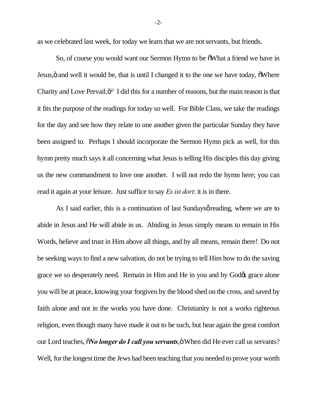as we celebrated last week, for today we learn that we are not servants, but friends.

So, of course you would want our Sermon Hymn to be  $\delta$ What a friend we have in Jesus, ö and well it would be, that is until I changed it to the one we have today,  $\delta$ Where Charity and Love Prevail. $\ddot{o}$ <sup>ii</sup> I did this for a number of reasons, but the main reason is that it fits the purpose of the readings for today so well. For Bible Class, we take the readings for the day and see how they relate to one another given the particular Sunday they have been assigned to. Perhaps I should incorporate the Sermon Hymn pick as well, for this hymn pretty much says it all concerning what Jesus is telling His disciples this day giving us the new commandment to love one another. I will not redo the hymn here; you can read it again at your leisure. Just suffice to say *Es ist dort*: it is in there.

As I said earlier, this is a continuation of last Sundays *o* reading, where we are to abide in Jesus and He will abide in us. Abiding in Jesus simply means to remain in His Words, believe and trust in Him above all things, and by all means, remain there! Do not be seeking ways to find a new salvation, do not be trying to tell Him how to do the saving grace we so desperately need. Remain in Him and He in you and by Godos grace alone you will be at peace, knowing your forgiven by the blood shed on the cross, and saved by faith alone and not in the works you have done. Christianity is not a works righteous religion, even though many have made it out to be such, but hear again the great comfort our Lord teaches,  $\tilde{o}$ *No longer do I call you servants*, $\ddot{o}$  When did He ever call us servants? Well, for the longest time the Jews had been teaching that you needed to prove your worth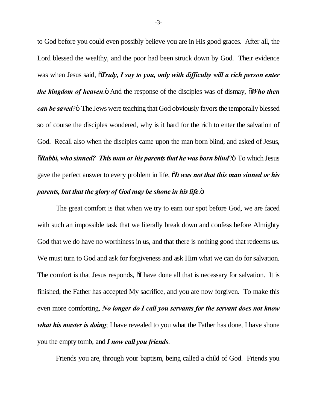to God before you could even possibly believe you are in His good graces. After all, the Lord blessed the wealthy, and the poor had been struck down by God. Their evidence was when Jesus said,  $\tilde{o}$ *Truly, I say to you, only with difficulty will a rich person enter the kingdom of heaven.*  $\ddot{\text{o}}$  And the response of the disciples was of dismay,  $\ddot{\text{o}}$ *Who then can be saved*?" The Jews were teaching that God obviously favors the temporally blessed so of course the disciples wondered, why is it hard for the rich to enter the salvation of God. Recall also when the disciples came upon the man born blind, and asked of Jesus,  $\tilde{\sigma}$ Rabbi, who sinned? This man or his parents that he was born blind? $\tilde{\sigma}$  To which Jesus gave the perfect answer to every problem in life, "*It was not that this man sinned or his parents, but that the glory of God may be shone in his life.*"

The great comfort is that when we try to earn our spot before God, we are faced with such an impossible task that we literally break down and confess before Almighty God that we do have no worthiness in us, and that there is nothing good that redeems us. We must turn to God and ask for forgiveness and ask Him what we can do for salvation. The comfort is that Jesus responds,  $\tilde{o}I$  have done all that is necessary for salvation. It is finished, the Father has accepted My sacrifice, and you are now forgiven. To make this even more comforting, *No longer do I call you servants for the servant does not know what his master is doing*; I have revealed to you what the Father has done, I have shone you the empty tomb, and *I now call you friends*.

Friends you are, through your baptism, being called a child of God. Friends you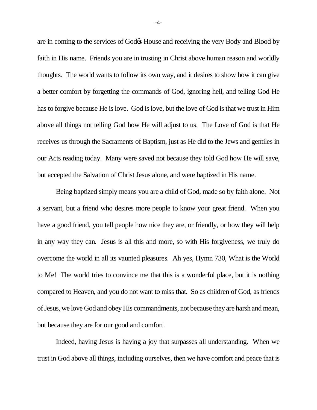are in coming to the services of God $\alpha$  House and receiving the very Body and Blood by faith in His name. Friends you are in trusting in Christ above human reason and worldly thoughts. The world wants to follow its own way, and it desires to show how it can give a better comfort by forgetting the commands of God, ignoring hell, and telling God He has to forgive because He is love. God is love, but the love of God is that we trust in Him above all things not telling God how He will adjust to us. The Love of God is that He receives us through the Sacraments of Baptism, just as He did to the Jews and gentiles in our Acts reading today. Many were saved not because they told God how He will save, but accepted the Salvation of Christ Jesus alone, and were baptized in His name.

Being baptized simply means you are a child of God, made so by faith alone. Not a servant, but a friend who desires more people to know your great friend. When you have a good friend, you tell people how nice they are, or friendly, or how they will help in any way they can. Jesus is all this and more, so with His forgiveness, we truly do overcome the world in all its vaunted pleasures. Ah yes, Hymn 730, What is the World to Me! The world tries to convince me that this is a wonderful place, but it is nothing compared to Heaven, and you do not want to miss that. So as children of God, as friends of Jesus, we love God and obey His commandments, not because they are harsh and mean, but because they are for our good and comfort.

Indeed, having Jesus is having a joy that surpasses all understanding. When we trust in God above all things, including ourselves, then we have comfort and peace that is

-4-